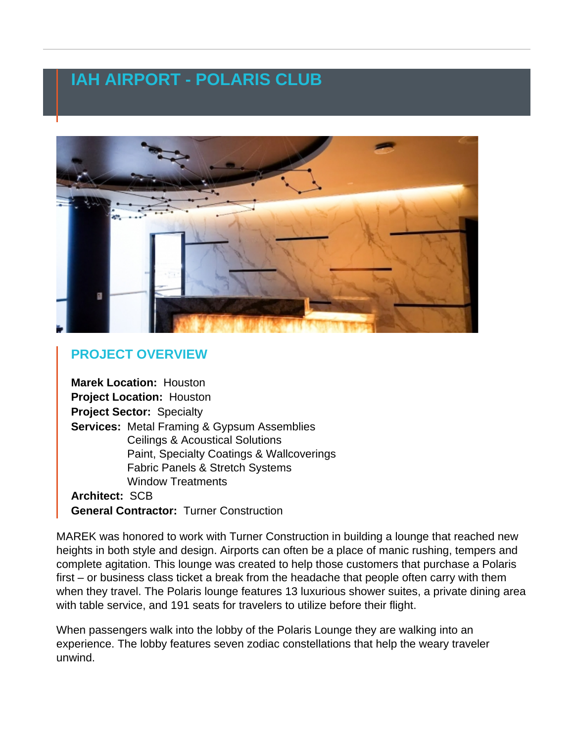## IAH AIRPORT - POLARIS CLUB

## PROJECT OVERVIEW

Marek Location: [Houston](https://www.marekbros.com/contact/houston) Project Location: Houston Project Sector: Specialty Services: [Metal Framing & Gypsum Assemblies](https://www.marekbros.com/services/commercial/metal-framing-gypsum-assemblies) [Ceilings & Acoustical Solutions](https://www.marekbros.com/services/commercial/ceilings-acoustical-solutions) [Paint, Specialty Coatings & Wallcoverings](https://www.marekbros.com/services/commercial/paint-specialty-coatings-wallcoverings) [Fabric Panels & Stretch Systems](https://www.marekbros.com/services/commercial/fabric-panels-stretch-systems) [Window Treatments](https://www.marekbros.com/services/commercial/window-treatments) Architect: SCB General Contractor: Turner Construction

MAREK was honored to work with Turner Construction in building a lounge that reached new heights in both style and design. Airports can often be a place of manic rushing, tempers and complete agitation. This lounge was created to help those customers that purchase a Polaris first – or business class ticket a break from the headache that people often carry with them when they travel. The Polaris lounge features 13 luxurious shower suites, a private dining area with table service, and 191 seats for travelers to utilize before their flight.

When passengers walk into the lobby of the Polaris Lounge they are walking into an experience. The lobby features seven zodiac constellations that help the weary traveler unwind.